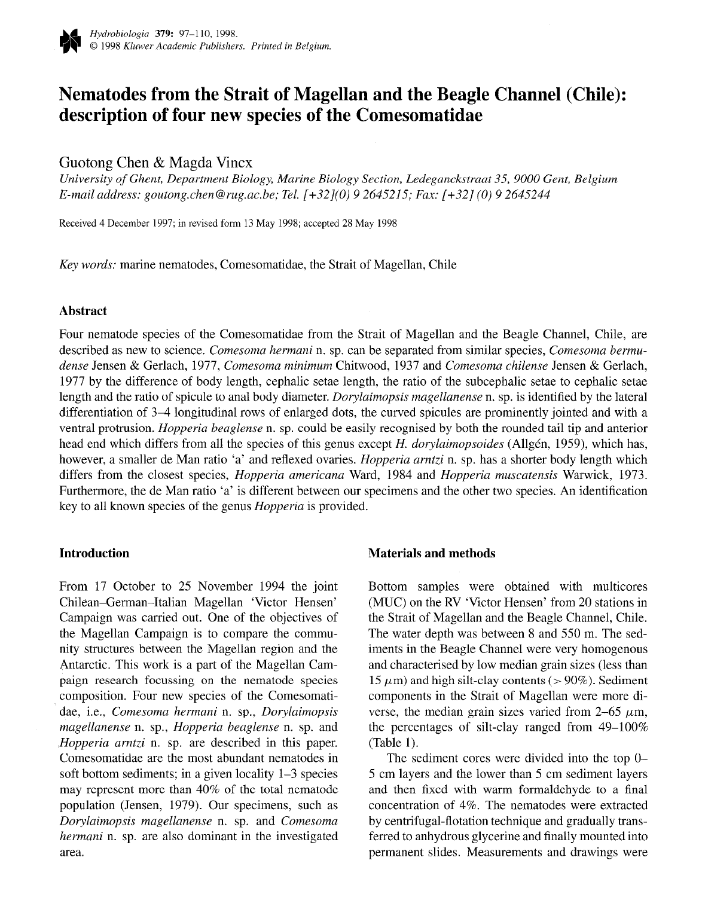

# Nematodes from the Strait of Magellan and the Beagle Channel (Chile): description of four new species of the Comesomatidae

# Guotong Chen & Magda Vincx

University of Ghent, Department Biology, Marine Biology Section, Ledeganckstraat 35, 9000 Gent, Belgium E-mail address: goutong.chen@rug.ac.be; Tel. (+32](O) 9 264.5215; Fax: [+32] (0) 9 2645244

Received 4 December 1997; in revised form 13 May 1998; accepted 28 May 1998

Key words: marine nematodes, Comesomatidae, the Strait of Magellan, Chile

# Abstract

Four nematode species of the Comesomatidae from the Strait of Magellan and the Beagle Channel, Chile, are described as new to science. Comesoma hermani n. sp. can be separated from similar species, Comesoma bermudense Jensen & Gerlach, 1977, Comesoma minimum Chitwood, 1937 and Comesoma chilense Jensen & Gerlach, 1977 by the difference of body length, cephalic setae length, the ratio of the subcephalic setae to cephalic setae length and the ratio of spicule to anal body diameter. Dorylaimopsis magellanense n. sp. is identified by the lateral differentiation of 3-4 longitudinal rows of enlarged dots, the curved spicules are prominently jointed and with a ventral protrusion. Hopperia beaglense n. sp. could be easily recognised by both the rounded tail tip and anterior head end which differs from all the species of this genus except H. dorylaimopsoides (Allgén, 1959), which has, however, a smaller de Man ratio 'a' and reflexed ovaries. *Hopperia arntzi* n. sp. has a shorter body length which differs from the closest species, Hopperia americana Ward, 1984 and Hopperia muscatensis Warwick, 1973. Furthermore, the de Man ratio 'a' is different between our specimens and the other two species. An identification key to all known species of the genus Hopperia is provided.

## **Introduction**

From 17 October to 25 November 1994 the joint Chilean-German-Italian Magellan 'Victor Hensen' Campaign was carried out. One of the objectives of the Magellan Campaign is to compare the community structures between the Magellan region and the Antarctic. This work is a part of the Magellan Campaign research focussing on the nematode species composition. Four new species of the Comesomatidae, i.e., Comesoma hermani n. sp., Dorylaimopsis magellanense n. sp., Hopperia beaglense n. sp. and Hopperia arntzi n. sp. are described in this paper. Comesomatidae are the most abundant nematodes in soft bottom sediments; in a given locality 1-3 species may represent more than 40% of the total nematode population (Jensen, 1979). Our specimens, such as Dorylaimopsis magellanense n. sp. and Comesoma hermani n. sp. are also dominant in the investigated area.

## Materials and methods

Bottom samples were obtained with multicores (MUC) on the RV 'Victor Hensen' from 20 stations in the Strait of Magellan and the Beagle Channel, Chile. The water depth was between 8 and 550 m. The sediments in the Beagle Channel were very homogenous and characterised by low median grain sizes (less than 15  $\mu$ m) and high silt-clay contents (> 90%). Sediment components in the Strait of Magellan were more diverse, the median grain sizes varied from 2-65  $\mu$ m, the percentages of silt-clay ranged from 49-100% (Table 1).

The sediment cores were divided into the top  $0-$ 5 cm layers and the lower than 5 cm sediment layers and then fixed with warm formaldehyde to a final concentration of 4%. The nematodes were extracted by centrifugal-flotation technique and gradually transferred to anhydrous glycerine and finally mounted into permanent slides. Measurements and drawings were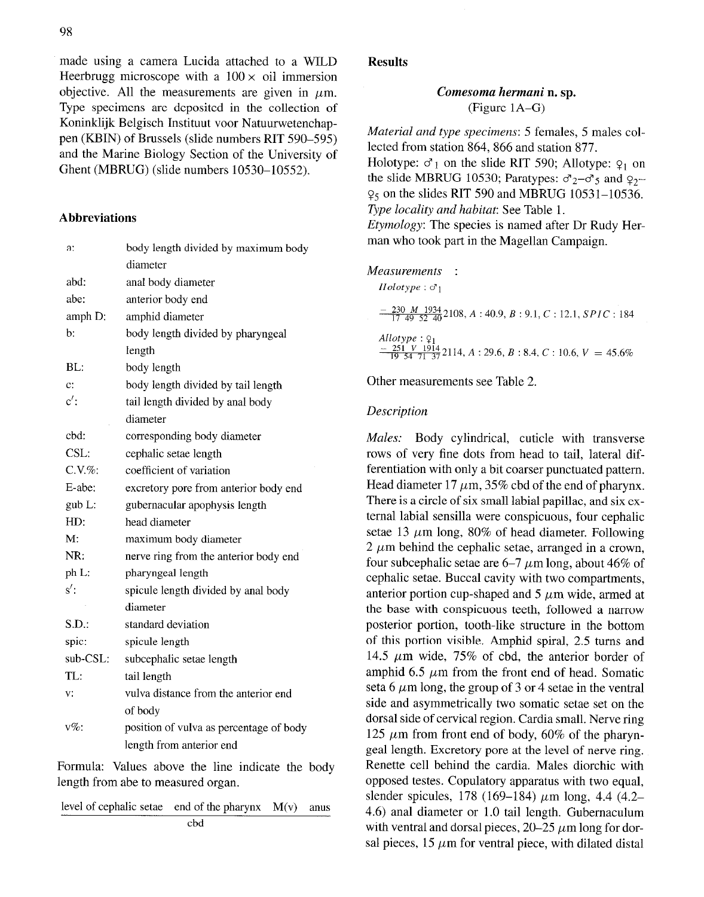made using a camera Lucida attached to a WILD Heerbrugg microscope with a  $100 \times$  oil immersion objective. All the measurements are given in  $\mu$ m. Type specimens are deposited in the collection of Koninklijk Belgisch Instituut voor Natuurwetenchappen (KBIN) of Brussels (slide numbers RIT 590-595) and the Marine Biology Section of the University of Ghent (MBRUG) (slide numbers 10530-10552).

#### Abbreviations

| a:             | body length divided by maximum body     |
|----------------|-----------------------------------------|
|                | diameter                                |
| abd:           | anal body diameter                      |
| abe:           | anterior body end                       |
| amph D:        | amphid diameter                         |
| b:             | body length divided by pharyngeal       |
|                | length                                  |
| BL:            | body length                             |
| $\mathbf{c}$ : | body length divided by tail length      |
| $c'$ :         | tail length divided by anal body        |
|                | diameter                                |
| cbd:           | corresponding body diameter             |
| CSL:           | cephalic setae length                   |
| $C.V. \%$      | coefficient of variation                |
| E-abe:         | excretory pore from anterior body end   |
| $gub$ L:       | gubernacular apophysis length           |
| HD:            | head diameter                           |
| М.             | maximum body diameter                   |
| NR:            | nerve ring from the anterior body end   |
| ph L:          | pharyngeal length                       |
| $s'$ :         | spicule length divided by anal body     |
|                | diameter                                |
| S.D.           | standard deviation                      |
| spic:          | spicule length                          |
| sub-CSL:       | subcephalic setae length                |
| TL:            | tail length                             |
| ٧.             | vulva distance from the anterior end    |
|                | of body                                 |
| $v\%$ :        | position of vulva as percentage of body |
|                | length from anterior end                |

Formula: Values above the line indicate the body length from abe to measured organ.

level of cephalic setae end of the pharynx  $M(v)$  anus cbd

#### Results

## Comesoma hermani n. sp. (Figure lA-G)

Material and type specimens: 5 females, 5 males collected from station 864, 866 and station 877. Holotype:  $\sigma_1$  on the slide RIT 590; Allotype:  $\varphi_1$  on the slide MBRUG 10530; Paratypes:  $\sigma_2-\sigma_5$  and  $\sigma_2$ - $\varphi$ <sub>5</sub> on the slides RIT 590 and MBRUG 10531-10536. Type locality and habitat: See Table 1. Etymology: The species is named after Dr Rudy Her-

man who took part in the Magellan Campaign.

| Measurements<br>$Holotype: \sigma_1$                                                                               |
|--------------------------------------------------------------------------------------------------------------------|
| $\frac{230 \text{ M} 1934}{17 \text{ A}9 \text{ S}2 \text{ A}0} 2108, A: 40.9, B: 9.1, C: 12.1, SPIC: 184$         |
| Allotype: $Q_1$<br>$\frac{-251 \text{ V } 1914}{19.54 \text{ J } 1.37} 2114, A: 29.6, B: 8.4, C: 10.6, V = 45.6\%$ |

Other measurements see Table 2.

## Description

Males: Body cylindrical, cuticle with transverse rows of very fine dots from head to tail, lateral differentiation with only a bit coarser punctuated pattern. Head diameter 17  $\mu$ m, 35% cbd of the end of pharynx. There is a circle of six small labial papillae, and six external labial sensilla were conspicuous, four cephalic setae 13  $\mu$ m long, 80% of head diameter. Following  $2 \mu m$  behind the cephalic setae, arranged in a crown, four subcephalic setae are  $6-7 \mu m$  long, about 46% of cephalic setae. Buccal cavity with two compartments, anterior portion cup-shaped and  $5 \mu m$  wide, armed at the base with conspicuous teeth, followed a narrow posterior portion, tooth-like structure in the bottom of this portion visible. Amphid spiral, 2.5 turns and 14.5  $\mu$ m wide, 75% of cbd, the anterior border of amphid 6.5  $\mu$ m from the front end of head. Somatic seta 6  $\mu$ m long, the group of 3 or 4 setae in the ventral side and asymmetrically two somatic setae set on the dorsal side of cervical region. Cardia small. Nerve ring 125  $\mu$ m from front end of body, 60% of the pharyngeal length. Excretory pore at the level of nerve ring. Renette cell behind the cardia. Males diorchic with opposed testes. Copulatory apparatus with two equal, slender spicules, 178 (169–184)  $\mu$ m long, 4.4 (4.2– 4.6) anal diameter or 1.0 tail length. Gubernaculum with ventral and dorsal pieces,  $20-25 \mu m$  long for dorsal pieces,  $15 \mu m$  for ventral piece, with dilated distal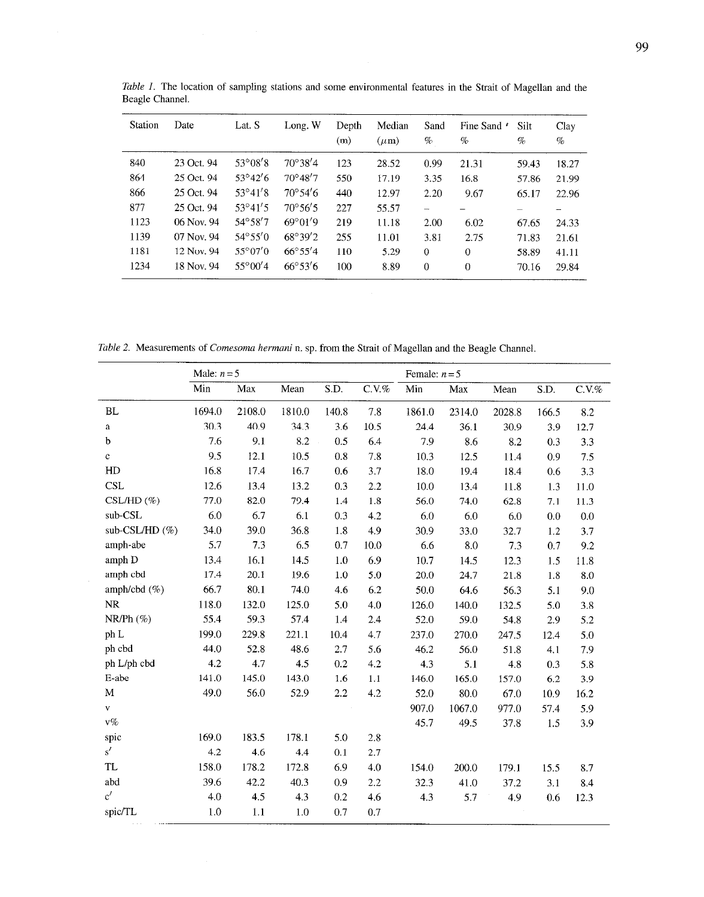| <b>Station</b> | Date       | Lat. S           | Long. W                  | Depth<br>(m) | Median<br>$(\mu m)$ | Sand<br>$\%$ | Fine Sand $\prime$<br>% | Silt<br>$\%$ | Clay<br>$\%$ |
|----------------|------------|------------------|--------------------------|--------------|---------------------|--------------|-------------------------|--------------|--------------|
| 840            | 23 Oct. 94 | $53^{\circ}08'8$ | $70^{\circ}38'4$         | 123          | 28.52               | 0.99         | 21.31                   | 59.43        | 18.27        |
| 864            | 25 Oct. 94 | $53^{\circ}42'6$ | $70^{\circ}48'7$         | 550          | 17.19               | 3.35         | 16.8                    | 57.86        | 21.99        |
| 866            | 25 Oct. 94 | $53^{\circ}41'8$ | $70^{\circ}54'6$         | 440          | 12.97               | 2.20         | 9.67                    | 65.17        | 22.96        |
| 877            | 25 Oct. 94 | $53^{\circ}41'5$ | $70^{\circ}56'5$         | 227          | 55.57               |              |                         |              |              |
| 1123           | 06 Nov. 94 | $54^{\circ}58'7$ | $69^{\circ}01^{\prime}9$ | 219          | 11.18               | 2.00         | 6.02                    | 67.65        | 24.33        |
| 1139           | 07 Nov. 94 | $54^{\circ}55'0$ | $68^{\circ}39'2$         | 255          | 11.01               | 3.81         | 2.75                    | 71.83        | 21.61        |
| 1181           | 12 Nov. 94 | $55^{\circ}07'0$ | $66^{\circ}55'4$         | 110          | 5.29                | $\Omega$     | $\theta$                | 58.89        | 41.11        |
| 1234           | 18 Nov. 94 | $55^{\circ}00'4$ | $66^{\circ}53'6$         | 100          | 8.89                | 0            | $\Omega$                | 70.16        | 29.84        |

Table 1. The location of sampling stations and some environmental features in the Strait of Magellan and the Beagle Channel.

Table 2. Measurements of Comesoma hermani n. sp. from the Strait of Magellan and the Beagle Channel.

|                   | Male: $n = 5$ |        | Female: $n = 5$ |       |           |        |        |        |       |          |
|-------------------|---------------|--------|-----------------|-------|-----------|--------|--------|--------|-------|----------|
|                   | Min           | Max    | Mean            | S.D.  | $C.V. \%$ | Min    | Max    | Mean   | S.D.  | $C.V.$ % |
| <b>BL</b>         | 1694.0        | 2108.0 | 1810.0          | 140.8 | 7.8       | 1861.0 | 2314.0 | 2028.8 | 166.5 | 8.2      |
| a                 | 30.3          | 40.9   | 34.3            | 3.6   | 10.5      | 24.4   | 36.1   | 30.9   | 3.9   | 12.7     |
| b                 | 7.6           | 9.1    | 8.2             | 0.5   | 6.4       | 7.9    | 8.6    | 8.2    | 0.3   | 3.3      |
| $\mathbf{c}$      | 9.5           | 12.1   | 10.5            | 0.8   | 7.8       | 10.3   | 12.5   | 11.4   | 0.9   | 7.5      |
| HD                | 16.8          | 17.4   | 16.7            | 0.6   | 3.7       | 18.0   | 19.4   | 18.4   | 0.6   | 3.3      |
| <b>CSL</b>        | 12.6          | 13.4   | 13.2            | 0.3   | 2.2       | 10.0   | 13.4   | 11.8   | 1.3   | 11.0     |
| $CSL/HD(\%)$      | 77.0          | 82.0   | 79.4            | 1.4   | 1.8       | 56.0   | 74.0   | 62.8   | 7.1   | 11.3     |
| sub-CSL           | 6.0           | 6.7    | 6.1             | 0.3   | 4.2       | 6.0    | 6.0    | 6.0    | 0.0   | 0.0      |
| sub-CSL/HD $(\%)$ | 34.0          | 39.0   | 36.8            | 1.8   | 4.9       | 30.9   | 33.0   | 32.7   | 1.2   | 3.7      |
| amph-abe          | 5.7           | 7.3    | 6.5             | 0.7   | 10.0      | 6.6    | 8.0    | 7.3    | 0.7   | 9.2      |
| amph D            | 13.4          | 16.1   | 14.5            | 1.0   | 6.9       | 10.7   | 14.5   | 12.3   | 1.5   | 11.8     |
| amph cbd          | 17.4          | 20.1   | 19.6            | 1.0   | 5.0       | 20.0   | 24,7   | 21.8   | 1.8   | 8.0      |
| amph/cbd (%)      | 66.7          | 80.1   | 74.0            | 4.6   | 6.2       | 50.0   | 64.6   | 56.3   | 5.1   | 9.0      |
| NR                | 118.0         | 132.0  | 125.0           | 5.0   | 4.0       | 126.0  | 140.0  | 132.5  | 5.0   | 3.8      |
| $NR/Ph$ (%)       | 55.4          | 59.3   | 57.4            | 1.4   | 2.4       | 52.0   | 59.0   | 54.8   | 2.9   | 5.2      |
| ph L              | 199.0         | 229.8  | 221.1           | 10.4  | 47        | 237.0  | 270.0  | 247.5  | 12.4  | 5.0      |
| ph cbd            | 44.0          | 52.8   | 48.6            | 2.7   | 5.6       | 46.2   | 56.0   | 51.8   | 4.1   | 7.9      |
| ph L/ph cbd       | 4.2           | 4.7    | 4.5             | 0.2   | 4.2       | 4.3    | 5.1    | 4.8    | 0.3   | 5.8      |
| E-abe             | 141.0         | 145.0  | 143.0           | 1.6   | 1.1       | 146.0  | 165.0  | 157.0  | 6.2   | 3.9      |
| M                 | 49.0          | 56.0   | 52.9            | 2.2   | 4.2       | 52.0   | 80.0   | 67.0   | 10.9  | 16.2     |
| V                 |               |        |                 |       |           | 907.0  | 1067.0 | 977.0  | 57.4  | 5.9      |
| $v\%$             |               |        |                 |       |           | 45.7   | 49.5   | 37.8   | 1.5   | 3.9      |
| spic              | 169.0         | 183.5  | 178.1           | 5.0   | 2.8       |        |        |        |       |          |
| s'                | 4.2           | 4.6    | 4.4             | 0.1   | 2.7       |        |        |        |       |          |
| <b>TL</b>         | 158.0         | 178.2  | 172.8           | 6.9   | 4.0       | 154.0  | 200.0  | 179.1  | 15.5  | 8.7      |
| abd               | 39.6          | 42.2   | 40.3            | 0.9   | 2.2       | 32.3   | 41.0   | 37.2   | 3.1   | 8.4      |
| c'                | 4.0           | 4.5    | 4.3             | 0.2   | 4.6       | 4.3    | 5.7    | 4.9    | 0.6   | 12.3     |
| spic/TL           | 1.0           | 1.1    | 1.0             | 0.7   | 0.7       |        |        |        |       |          |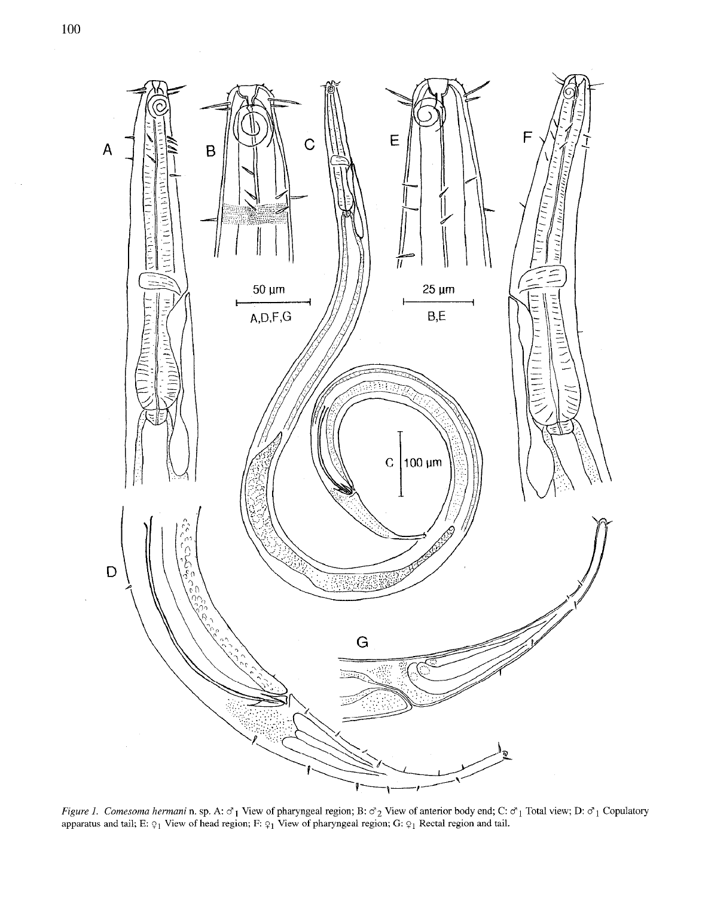

Figure 1. Comesoma hermani n. sp. A:  $\sigma_1$  View of pharyngeal region; B:  $\sigma_2$  View of anterior body end; C:  $\sigma_1$  Total view; D:  $\sigma_1$  Copulatory apparatus and tail; E:  $\varphi_1$  View of head region; F:  $\varphi_1$  View of pharyngeal region; G:  $\varphi_1$  Rectal region and tail.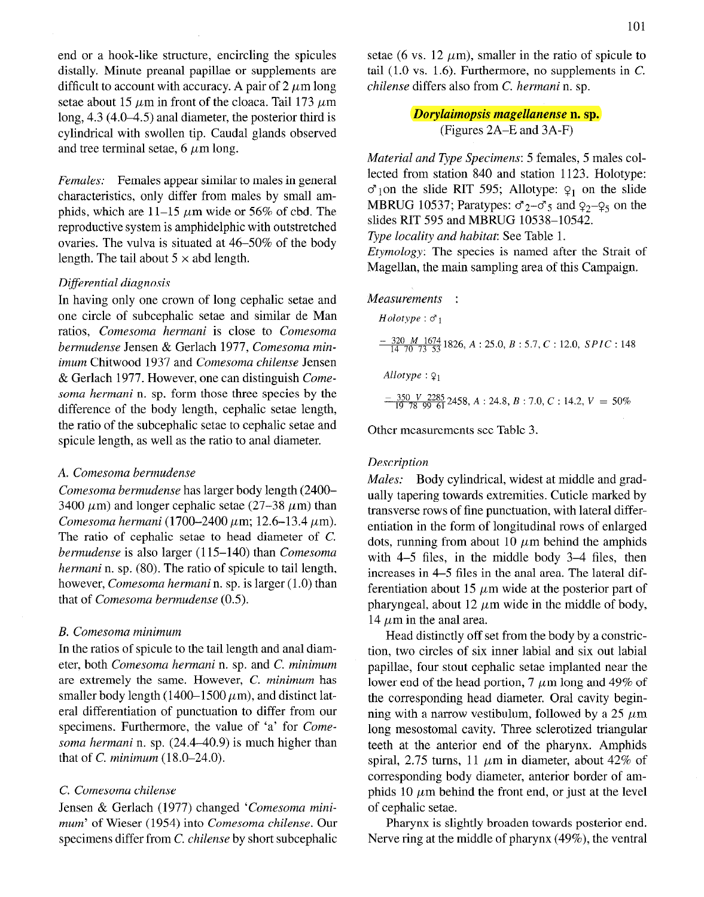end or a hook-like structure, encircling the spicules distally. Minute preanal papillae or supplements are difficult to account with accuracy. A pair of  $2 \mu m$  long setae about 15  $\mu$ m in front of the cloaca. Tail 173  $\mu$ m long, 4.3 (4.0-4.5) anal diameter, the posterior third is cylindrical with swollen tip. Caudal glands observed and tree terminal setae,  $6 \mu m$  long.

Females: Females appear similar to males in general characteristics, only differ from males by small amphids, which are 11-15  $\mu$ m wide or 56% of cbd. The reproductive system is amphidelphic with outstretched ovaries. The vulva is situated at 46-50% of the body length. The tail about  $5 \times$  abd length.

## Differential diagnosis

In having only one crown of long cephalic setae and one circle of subcephalic setae and similar de Man ratios, Comesoma hermani is close to Comesoma bermudense Jensen & Gerlach 1977, Comesoma minimum Chitwood 1937 and Comesoma chilense Jensen & Gerlach 1977. However, one can distinguish Comesoma hermani n. sp. form those three species by the difference of the body length, cephalic setae length, the ratio of the subcephalic setae to cephalic setae and spicule length, as well as the ratio to anal diameter.

## A. Comesoma bermudense

Comesoma bermudense has larger body length (2400- 3400  $\mu$ m) and longer cephalic setae (27–38  $\mu$ m) than Comesoma hermani (1700-2400  $\mu$ m; 12.6-13.4  $\mu$ m). The ratio of cephalic setae to head diameter of C. bermudense is also larger (115-140) than Comesoma hermani n. sp. (80). The ratio of spicule to tail length, however, Comesoma hermani n. sp. is larger (1.0) than that of Comesoma bermudense (0.5).

## B. Comesoma minimum

In the ratios of spicule to the tail length and anal diameter, both Comesoma hermani n. sp. and C. minimum are extremely the same. However, C. minimum has smaller body length (1400-1500  $\mu$ m), and distinct lateral differentiation of punctuation to differ from our specimens. Furthermore, the value of 'a' for Comesoma hermani n. sp. (24.4-40.9) is much higher than that of  $C.$  minimum (18.0-24.0).

#### C. Comesoma chilense

Jensen & Gerlach (1977) changed 'Comesoma minimum' of Wieser (1954) into Comesoma chilense. Our specimens differ from C. chilense by short subcephalic setae (6 vs. 12  $\mu$ m), smaller in the ratio of spicule to tail  $(1.0 \text{ vs. } 1.6)$ . Furthermore, no supplements in C. chilense differs also from C. hermani n. sp.

> Dorylaimopsis magellanense n. sp. (Figures 2A-E and 3A-F)

Material and Type Specimens: 5 females, 5 males collected from station 840 and station 1123. Holotype:  $\sigma_1$ on the slide RIT 595; Allotype:  $q_1$  on the slide MBRUG 10537; Paratypes:  $\sigma_2-\sigma_5$  and  $\sigma_2-\sigma_5$  on the slides RIT 595 and MBRUG 10538-10542.

Type locality and habitat: See Table 1.

Etymology: The species is named after the Strait of Magellan, the main sampling area of this Campaign.

#### Measurements :

*Holotype*: 
$$
\sigma_1
$$
  
\n
$$
\frac{-320 \text{ M } 1674}{14 \text{ 70 } \text{ 73 } 53}
$$
 1826, A : 25.0, B : 5.7, C : 12.0, *SPIC* : 148  
\n*Allotype* :  $\varphi_1$   
\n
$$
\frac{-350 \text{ V } 2285}{19 \text{ 78 } 99 \text{ 61}} 2458, A : 24.8, B : 7.0, C : 14.2, V = 50\%
$$

Other measurements see Table 3.

## **Description**

Males: Body cylindrical, widest at middle and gradually tapering towards extremities. Cuticle marked by transverse rows of fine punctuation, with lateral differentiation in the form of longitudinal rows of enlarged dots, running from about 10  $\mu$ m behind the amphids with 4-5 files, in the middle body 3-4 files, then increases in 4-5 files in the anal area. The lateral differentiation about 15  $\mu$ m wide at the posterior part of pharyngeal, about 12  $\mu$ m wide in the middle of body, 14  $\mu$ m in the anal area.

Head distinctly off set from the body by a constriction, two circles of six inner labial and six out labial papillae, four stout cephalic setae implanted near the lower end of the head portion, 7  $\mu$ m long and 49% of the corresponding head diameter. Oral cavity beginning with a narrow vestibulum, followed by a 25  $\mu$ m long mesostomal cavity. Three sclerotized triangular teeth at the anterior end of the pharynx. Amphids spiral, 2.75 turns, 11  $\mu$ m in diameter, about 42% of corresponding body diameter, anterior border of amphids 10  $\mu$ m behind the front end, or just at the level of cephalic setae.

Pharynx is slightly broaden towards posterior end. Nerve ring at the middle of pharynx (49%), the ventral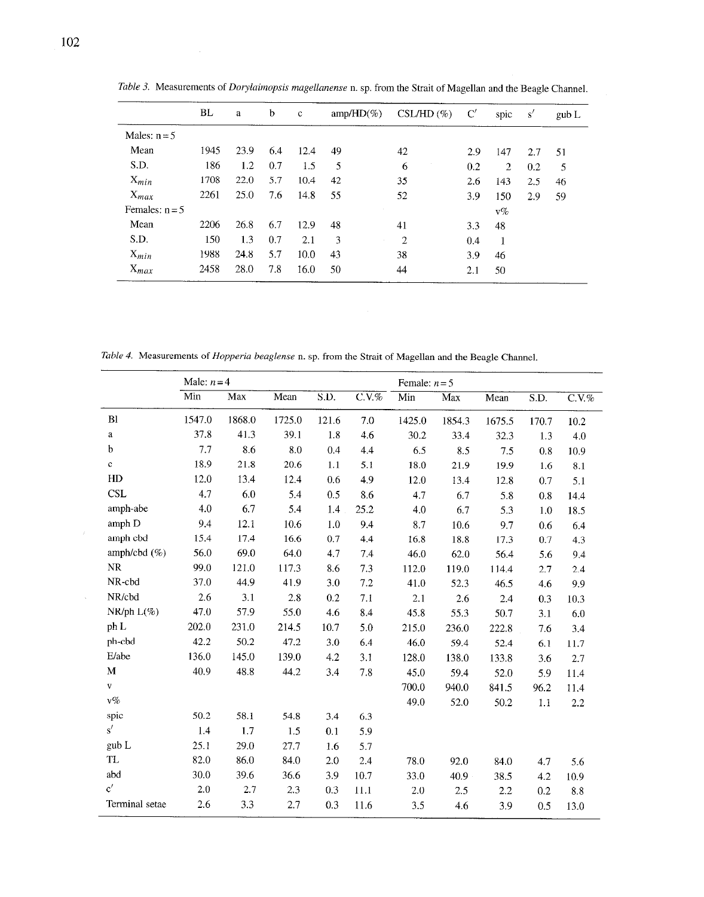|                  | BL   | a    | $\mathbf b$ | $\mathbf c$ | $amp/HD(\%)$ | $CSL/HD(\%)$   | C'  | spic           | s'  | gub L |
|------------------|------|------|-------------|-------------|--------------|----------------|-----|----------------|-----|-------|
| Males: $n = 5$   |      |      |             |             |              |                |     |                |     |       |
| Mean             | 1945 | 23.9 | 6.4         | 12.4        | 49           | 42             | 2.9 | 147            | 2.7 | 51    |
| S.D.             | 186  | 1.2  | 0.7         | 1.5         | 5            | 6              | 0.2 | $\overline{2}$ | 0.2 | 5     |
| $X_{min}$        | 1708 | 22.0 | 5.7         | 10.4        | 42           | 35             | 2.6 | 143            | 2.5 | 46    |
| $X_{max}$        | 2261 | 25.0 | 7.6         | 14.8        | 55           | 52             | 3.9 | 150            | 2.9 | 59    |
| Females: $n = 5$ |      |      |             |             |              |                |     | $v\%$          |     |       |
| Mean             | 2206 | 26.8 | 6.7         | 12.9        | 48           | 41             | 3.3 | 48             |     |       |
| S.D.             | 150  | 1.3  | 0.7         | 2.1         | 3            | $\overline{2}$ | 0.4 |                |     |       |
| $X_{min}$        | 1988 | 24.8 | 5.7         | 10.0        | 43           | 38             | 3.9 | 46             |     |       |
| $X_{max}$        | 2458 | 28.0 | 7.8         | 16.0        | 50           | 44             | 2.1 | 50             |     |       |

Table 3. Measurements of Dorylaimopsis magellanense n. sp. from the Strait of Magellan and the Beagle Channel.

Table 4. Measurements of Hopperia beaglense n. sp. from the Strait of Magellan and the Beagle Channel.

|                 | Male: $n = 4$ |        |        |       | Female: $n = 5$ |        |        |        |                   |          |
|-----------------|---------------|--------|--------|-------|-----------------|--------|--------|--------|-------------------|----------|
|                 | Min           | Max    | Mean   | S.D.  | $C.V.$ %        | Min    | Max    | Mean   | $\overline{S.D.}$ | $C.V.$ % |
| Bl              | 1547.0        | 1868.0 | 1725.0 | 121.6 | 7.0             | 1425.0 | 1854.3 | 1675.5 | 170.7             | 10.2     |
| $\bf{a}$        | 37.8          | 41.3   | 39.1   | 1.8   | 4.6             | 30.2   | 33.4   | 32.3   | 1.3               | 4.0      |
| b               | 7.7           | 8.6    | 8.0    | 0.4   | 4.4             | 6.5    | 8.5    | 7.5    | 0.8               | 10.9     |
| c.              | 18.9          | 21.8   | 20.6   | 1.1   | 5.1             | 18.0   | 21.9   | 19.9   | 1.6               | 8.1      |
| HD              | 12.0          | 13.4   | 12.4   | 0.6   | 4.9             | 12.0   | 13.4   | 12.8   | 0.7               | 5.1      |
| <b>CSL</b>      | 4.7           | 6.0    | 5.4    | 0.5   | 8.6             | 4.7    | 6.7    | 5.8    | 0.8               | 14.4     |
| amph-abe        | 4.0           | 6.7    | 5.4    | 1.4   | 25.2            | 4.0    | 6.7    | 5.3    | 1.0               | 18.5     |
| amph D          | 9.4           | 12.1   | 10.6   | 1.0   | 9.4             | 8.7    | 10.6   | 9.7    | 0.6               | 6.4      |
| amph cbd        | 15.4          | 17.4   | 16.6   | 0.7   | 4.4             | 16.8   | 18.8   | 17.3   | 0.7               | 4.3      |
| amph/cbd $(\%)$ | 56.0          | 69.0   | 64.0   | 4.7   | 7.4             | 46.0   | 62.0   | 56.4   | 5.6               | 9,4      |
| NR              | 99.0          | 121.0  | 117.3  | 8.6   | 7.3             | 112.0  | 119.0  | 114.4  | 2.7               | 2.4      |
| NR-cbd          | 37.0          | 44.9   | 41.9   | 3.0   | 7.2             | 41.0   | 52.3   | 46.5   | 4.6               | 9.9      |
| NR/cbd          | 2.6           | 3.1    | 2.8    | 0.2   | 7.1             | 2.1    | 2.6    | 2.4    | 0.3               | 10.3     |
| $NR/ph L(\%)$   | 47.0          | 57.9   | 55.0   | 4.6   | 8.4             | 45.8   | 55.3   | 50.7   | 3.1               | 6.0      |
| ph L            | 202.0         | 231.0  | 214.5  | 10.7  | 5.0             | 215.0  | 236.0  | 222.8  | 7.6               | 3.4      |
| ph-cbd          | 42.2          | 50.2   | 47.2   | 3.0   | 6.4             | 46.0   | 59.4   | 52.4   | 6.1               | 11.7     |
| E/abe           | 136.0         | 145.0  | 139.0  | 4.2   | 3.1             | 128.0  | 138.0  | 133.8  | 3.6               | 2.7      |
| M               | 40.9          | 48.8   | 44.2   | 3.4   | 7.8             | 45.0   | 59.4   | 52.0   | 5.9               | 11.4     |
| $\mathbf{V}$    |               |        |        |       |                 | 700.0  | 940.0  | 841.5  | 96.2              | 11.4     |
| $v\%$           |               |        |        |       |                 | 49.0   | 52.0   | 50.2   | 1.1               | 2.2      |
| spic            | 50.2          | 58.1   | 54.8   | 3.4   | 6.3             |        |        |        |                   |          |
| s'              | 1.4           | 1.7    | 1.5    | 0.1   | 5.9             |        |        |        |                   |          |
| gub L           | 25.1          | 29.0   | 27.7   | 1.6   | 5.7             |        |        |        |                   |          |
| TL              | 82.0          | 86.0   | 84.0   | 2.0   | 2.4             | 78.0   | 92.0   | 84.0   | 4.7               | 5.6      |
| abd             | 30.0          | 39.6   | 36.6   | 3.9   | 10.7            | 33.0   | 40.9   | 38.5   | 4.2               | 10.9     |
| c'              | 2.0           | 2.7    | 2.3    | 0.3   | 11.1            | 2.0    | 2.5    | 2.2    | 0.2               | 8.8      |
| Terminal setae  | 2.6           | 3.3    | 2.7    | 0.3   | 11.6            | 3.5    | 4.6    | 3.9    | 0.5               | 13.0     |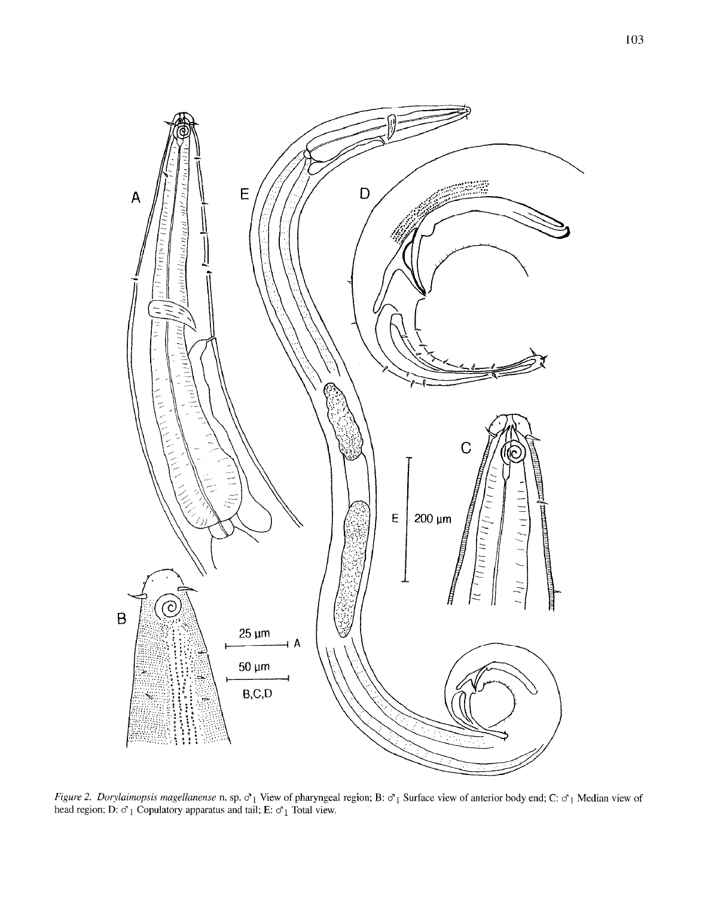

Figure 2. Dorylaimopsis magellanense n. sp.  $\sigma_1$  View of pharyngeal region; B:  $\sigma_1$  Surface view of anterior body end; C:  $\sigma_1$  Median view of head region; D:  $\sigma_1$  Copulatory apparatus and tail; E:  $\sigma_1$  Total view.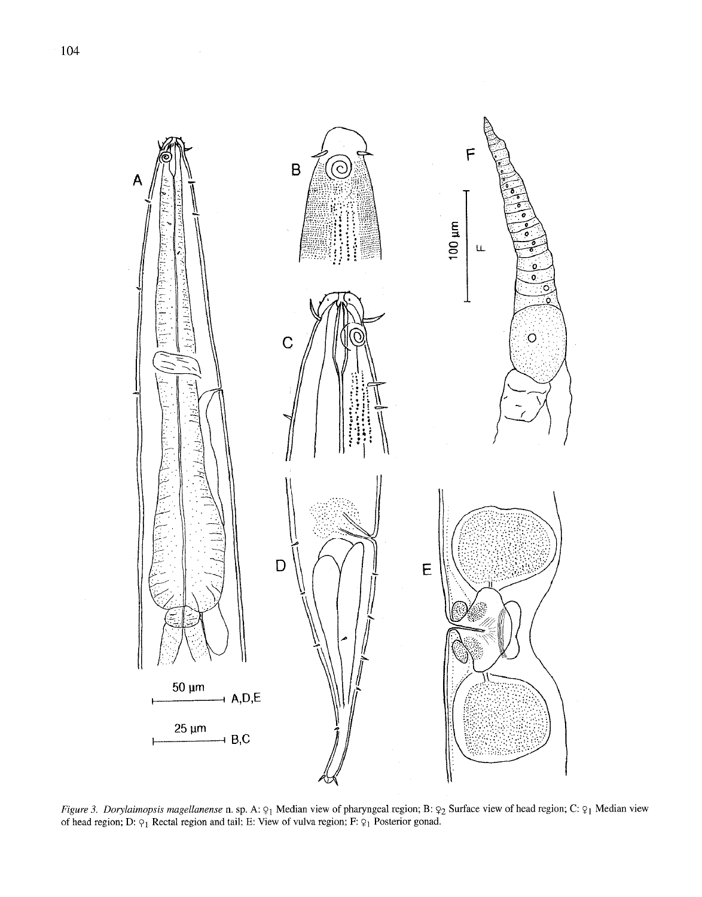

Figure 3. Dorylaimopsis magellanense n. sp. A:  $\varphi_1$  Median view of pharyngeal region; B:  $\varphi_2$  Surface view of head region; C:  $\varphi_1$  Median view of head region; D:  $\varphi_1$  Rectal region and tail; E: View of vulva region; F:  $\varphi_1$  Posterior gonad.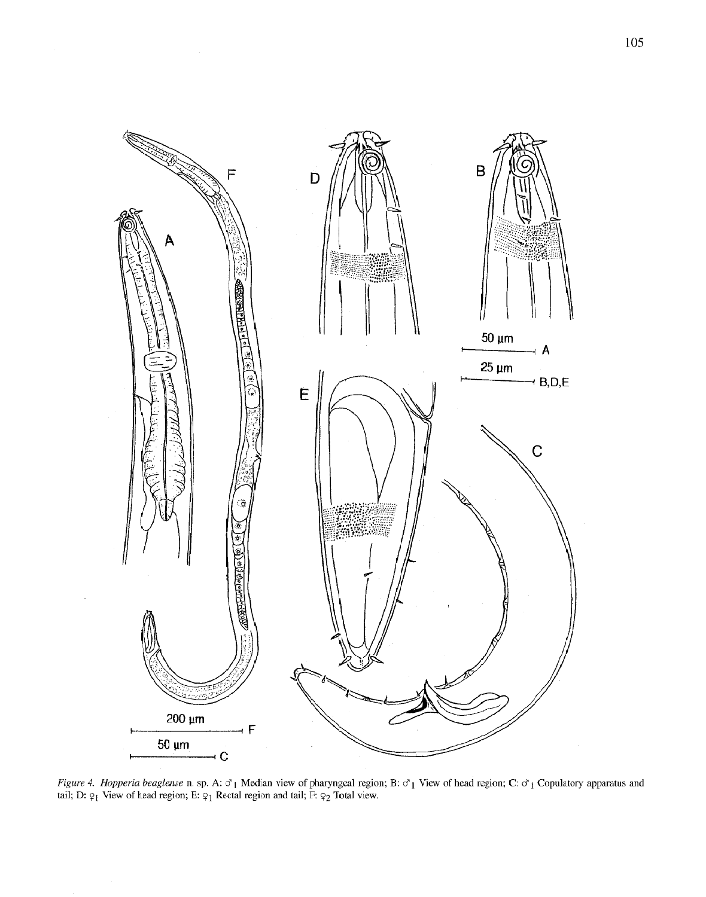

Figure 4. Hopperia beaglense n. sp. A:  $\sigma_1$  Median view of pharyngeal region; B:  $\sigma_1$  View of head region; C:  $\sigma_1$  Copulatory apparatus and tail; D:  $\varphi_1$  View of head region; E:  $\varphi_1$  Rectal region and tail; F: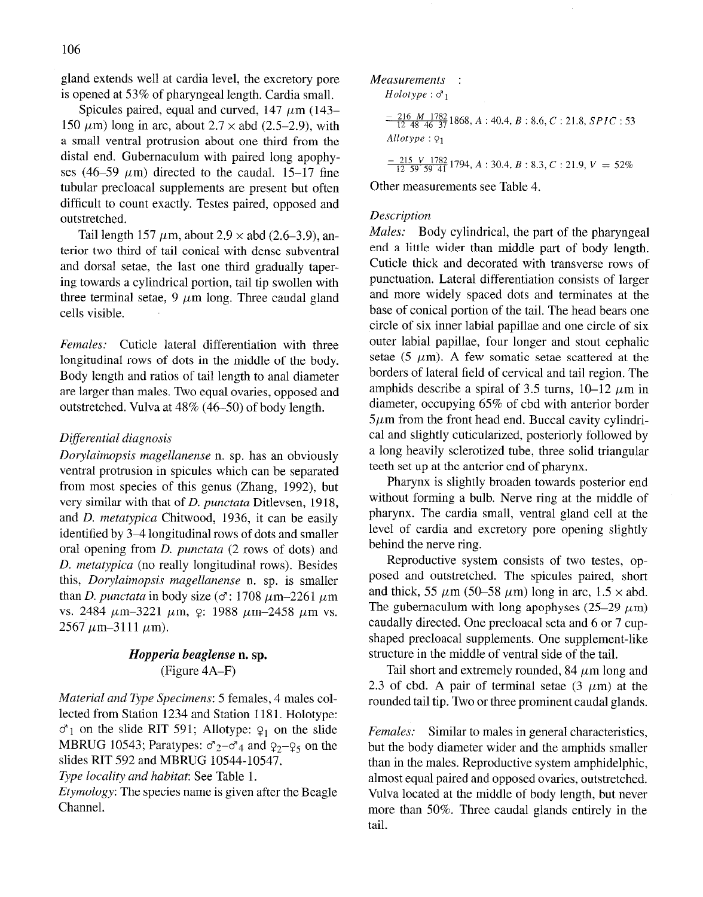gland extends well at cardia level, the excretory pore is opened at 53% of pharyngeal length. Cardia small.

Spicules paired, equal and curved,  $147 \mu m$  ( $143-$ 150  $\mu$ m) long in arc, about 2.7  $\times$  abd (2.5–2.9), with a small ventral protrusion about one third from the distal end. Gubernaculum with paired long apophyses (46-59  $\mu$ m) directed to the caudal. 15-17 fine tubular precloacal supplements are present but often difficult to count exactly. Testes paired, opposed and outstretched.

Tail length 157  $\mu$ m, about 2.9  $\times$  abd (2.6–3.9), anterior two third of tail conical with dense subventral and dorsal setae, the last one third gradually tapering towards a cylindrical portion, tail tip swollen with three terminal setae,  $9 \mu m$  long. Three caudal gland cells visible.

Females: Cuticle lateral differentiation with three longitudinal rows of dots in the middle of the body. Body length and ratios of tail length to anal diameter are larger than males. Two equal ovaries, opposed and outstretched. Vulva at 48% (46-50) of body length.

## Differential diagnosis

Dorylaimopsis magellanense n. sp. has an obviously ventral protrusion in spicules which can be separated from most species of this genus (Zhang, 1992), but very similar with that of D. punctata Ditlevsen, 1918, and D. metatypica Chitwood, 1936, it can be easily identified by 3-4 longitudinal rows of dots and smaller oral opening from D. punctata (2 rows of dots) and D. metatypica (no really longitudinal rows). Besides this, Dorylaimopsis magellanense n. sp. is smaller than D. punctata in body size ( $\sigma$ : 1708  $\mu$ m-2261  $\mu$ m vs. 2484  $\mu$ m-3221  $\mu$ m,  $\varphi$ : 1988  $\mu$ m-2458  $\mu$ m vs.  $2567 \mu m - 3111 \mu m$ ).

# Hopperia beaglense n. sp. (Figure 4A-F)

Material and Type Specimens: 5 females, 4 males collected from Station 1234 and Station 1181. Holotype:  $\sigma_1$  on the slide RIT 591; Allotype:  $\varphi_1$  on the slide MBRUG 10543; Paratypes:  $\sigma_2 - \sigma_4$  and  $\sigma_2 - \sigma_5$  on the slides RIT 592 and MBRUG 10544-10547.

Type locality and habitat: See Table 1.

Etymology: The species name is given after the Beagle Channel.

Measurements :

 $Holotype : \sigma_1$ 

$$
\frac{-216 \ M \ 1782}{12 \ 48 \ 46 \ 37}1868, A: 40.4, B: 8.6, C: 21.8, SPIC: 53
$$
  
Allotype:  $\varphi_1$ 

 $\frac{-215 V 1782}{12.59.59.41}$  1794, A : 30.4, B : 8.3, C : 21.9, V = 52%

Other measurements see Table 4.

# Description

Males: Body cylindrical, the part of the pharyngeal end a little wider than middle part of body length. Cuticle thick and decorated with transverse rows of punctuation. Lateral differentiation consists of larger and more widely spaced dots and terminates at the base of conical portion of the tail. The head bears one circle of six inner labial papillae and one circle of six outer labial papillae, four longer and stout cephalic setae (5  $\mu$ m). A few somatic setae scattered at the borders of lateral field of cervical and tail region. The amphids describe a spiral of 3.5 turns,  $10-12 \mu m$  in diameter, occupying 65% of cbd with anterior border  $5 \mu$ m from the front head end. Buccal cavity cylindrical and slightly cuticularized, posteriorly followed by a long heavily sclerotized tube, three solid triangular teeth set up at the anterior end of pharynx.

Pharynx is slightly broaden towards posterior end without forming a bulb. Nerve ring at the middle of pharynx. The cardia small, ventral gland cell at the level of cardia and excretory pore opening slightly behind the nerve ring.

Reproductive system consists of two testes, opposed and outstretched. The spicules paired, short and thick, 55  $\mu$ m (50–58  $\mu$ m) long in arc, 1.5  $\times$  abd. The gubernaculum with long apophyses (25–29  $\mu$ m) caudally directed. One precloacal seta and 6 or 7 cupshaped precloacal supplements. One supplement-like structure in the middle of ventral side of the tail.

Tail short and extremely rounded, 84  $\mu$ m long and 2.3 of cbd. A pair of terminal setae  $(3 \mu m)$  at the rounded tail tip. Two or three prominent caudal glands.

Females: Similar to males in general characteristics, but the body diameter wider and the amphids smaller than in the males. Reproductive system amphidelphic, almost equal paired and opposed ovaries, outstretched. Vulva located at the middle of body length, but never more than 50%. Three caudal glands entirely in the tail.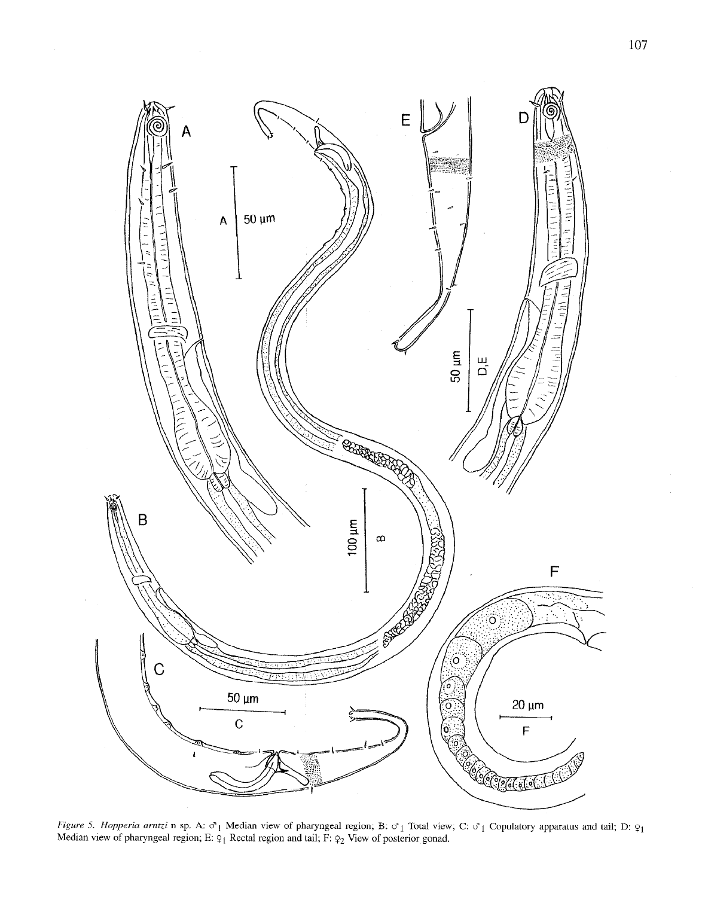

Figure 5. Hopperia arntzi n sp. A:  $\sigma_1$  Median view of pharyngeal region; B:  $\sigma_1$  Total view; C:  $\sigma_1$  Copulatory apparatus and tail; Figure 5. Hopperia arntzi n sp. A:  $\sigma_1$  Median view of pharyngeal region; B:  $\sigma_1$  Total view; C:  $\sigma_1$  Copulatory apparatus and tail; D:  $\varphi_1$ <br>Median view of pharyngeal region; E:  $\varphi_1$  Rectal region and tail; F: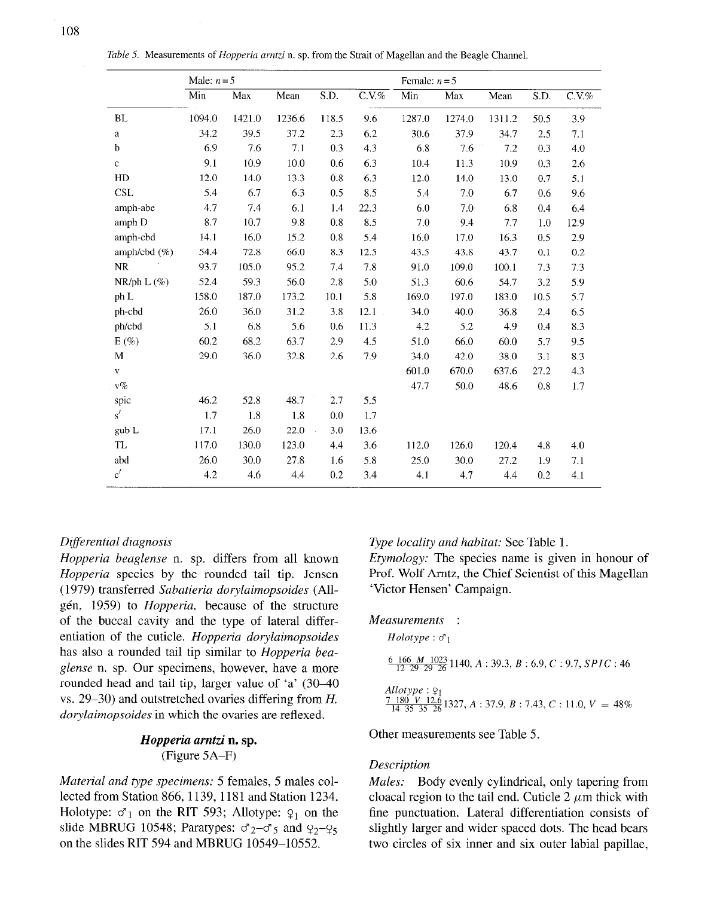|  |  |  | Table 5. Measurements of Hopperia arntzi n. sp. from the Strait of Magellan and the Beagle Channel. |  |
|--|--|--|-----------------------------------------------------------------------------------------------------|--|
|  |  |  |                                                                                                     |  |

|                 | Male: $n=5$ |        |        |       | Female: $n = 5$ |        |        |        |      |          |
|-----------------|-------------|--------|--------|-------|-----------------|--------|--------|--------|------|----------|
|                 | Min         | Max    | Mean   | S.D.  | $C.V.$ %        | Min    | Max    | Mean   | S.D. | $C.V.$ % |
| <b>BL</b>       | 1094.0      | 1421.0 | 1236.6 | 118.5 | 9.6             | 1287.0 | 1274.0 | 1311.2 | 50.5 | 3.9      |
| $\rm{a}$        | 34.2        | 39.5   | 37.2   | 2.3   | 6.2             | 30.6   | 37.9   | 34.7   | 2.5  | 7.1      |
| $\mathbf b$     | 6.9         | 7.6    | 7.1    | 0.3   | 4.3             | 6.8    | 7.6    | 7.2    | 0.3  | 4.0      |
| $\mathbf{c}$    | 9.1         | 10.9   | 10.0   | 0.6   | 6.3             | 10.4   | 11.3   | 10.9   | 0.3  | 2.6      |
| HD              | 12.0        | 14.0   | 13.3   | 0.8   | 6.3             | 12.0   | 14.0   | 13.0   | 0.7  | 5.1      |
| <b>CSL</b>      | 5.4         | 6.7    | 6.3    | 0.5   | 8.5             | 5.4    | 7.0    | 6.7    | 0.6  | 9.6      |
| amph-abe        | 4.7         | 7.4    | 6.1    | 1.4   | 22.3            | 6.0    | 7.0    | 6.8    | 0.4  | 6.4      |
| amph D          | 8.7         | 10.7   | 9.8    | 0.8   | 8.5             | 7.0    | 9.4    | 7.7    | 1.0  | 12.9     |
| amph-cbd        | 14.1        | 16.0   | 15.2   | 0.8   | 5.4             | 16.0   | 17.0   | 16.3   | 0.5  | 2.9      |
| amph/cbd $(\%)$ | 54.4        | 72.8   | 66.0   | 8.3   | 12.5            | 43.5   | 43.8   | 43.7   | 0.1  | 0.2      |
| <b>NR</b>       | 93.7        | 105.0  | 95.2   | 7.4   | 7.8             | 91.0   | 109.0  | 100.1  | 7.3  | 73       |
| $NR/ph L (\%)$  | 52.4        | 59.3   | 56.0   | 2.8   | 5.0             | 51.3   | 60.6   | 54.7   | 3.2  | 5.9      |
| ph L            | 158.0       | 187.0  | 173.2  | 10.1  | 5.8             | 169.0  | 197.0  | 183.0  | 10.5 | 5.7      |
| ph-cbd          | 26.0        | 36.0   | 31.2   | 3.8   | 12.1            | 34.0   | 40.0   | 36.8   | 2.4  | 6.5      |
| ph/cbd          | 5.1         | 6.8    | 5.6    | 0.6   | 11.3            | 4.2    | 5.2    | 4.9    | 0.4  | 8.3      |
| $E(\%)$         | 60.2        | 68.2   | 63.7   | 2.9   | 4.5             | 51.0   | 66.0   | 60.0   | 5.7  | 9.5      |
| M               | 29.0        | 36.0   | 32.8   | 2.6   | 7.9             | 34.0   | 42.0   | 38.0   | 3.1  | 8.3      |
| $\mathbf{V}$    |             |        |        |       |                 | 601.0  | 670.0  | 637.6  | 27.2 | 4.3      |
| $v\%$           |             |        |        |       |                 | 47.7   | 50.0   | 48.6   | 0.8  | 1.7      |
| spic            | 46.2        | 52.8   | 48.7   | 2.7   | 5.5             |        |        |        |      |          |
| s'              | 1.7         | 1.8    | 1.8    | 0.0   | 1.7             |        |        |        |      |          |
| gub L           | 17.1        | 26.0   | 22.0   | 3.0   | 13.6            |        |        |        |      |          |
| TL              | 117.0       | 130.0  | 123.0  | 4.4   | 3.6             | 112.0  | 126.0  | 120.4  | 4.8  | 4.0      |
| abd             | 26.0        | 30.0   | 27.8   | 1.6   | 5.8             | 25.0   | 30.0   | 27.2   | 1.9  | 7.1      |
| c'              | 4.2         | 4.6    | 4.4    | 0.2   | 3.4             | 4.1    | 4.7    | 4.4    | 0.2  | 4.1      |

# Differential diagnosis

Hopperia beaglense n. sp. differs from all known Hopperia species by the rounded tail tip. Jensen (1979) transferred Sabatieria dorylaimopsoides (Allgén, 1959) to Hopperia, because of the structure of the buccal cavity and the type of lateral differentiation of the cuticle. Hopperia dorylaimopsoides has also a rounded tail tip similar to *Hopperia bea*glense n. sp. Our specimens, however, have a more rounded head and tail tip, larger value of 'a' (30-40 vs. 29-30) and outstretched ovaries differing from H. dorylaimopsoides in which the ovaries are reflexed.

## Hopperia arntzi n. sp. (Figure 5A–F)

Material and type specimens: 5 females, 5 males collected from Station 866, 1139, 1181 and Station 1234. Holotype:  $\sigma_1$  on the RIT 593; Allotype:  $\varphi_1$  on the slide MBRUG 10548; Paratypes:  $\sigma_2 - \sigma_5$  and  $\sigma_2 - \sigma_5$ on the slides RIT 594 and MBRUG 10549-10552.

Type locality and habitat: See Table 1.

Etymology: The species name is given in honour of Prof. Wolf Arntz, the Chief Scientist of this Magellan 'Victor Hensen' Campaign.

# Measurements :

*Holotype*: 
$$
\sigma_1
$$
  
\n
$$
\frac{6 \t166 \t M \t1023}{12 \t29 \t29 \t26} 1140, A : 39.3, B : 6.9, C : 9.7, SPIC : 46
$$
\n*Allotype*:  $\varphi_1$   
\n
$$
\frac{7 \t180 \t V \t12.6}{14 \t35 \t35 \t26} 1327, A : 37.9, B : 7.43, C : 11.0, V = 48\%
$$

Other measurements see Table 5.

## Description

Males: Body evenly cylindrical, only tapering from cloacal region to the tail end. Cuticle  $2 \mu m$  thick with fine punctuation. Lateral differentiation consists of slightly larger and wider spaced dots. The head bears two circles of six inner and six outer labial papillae,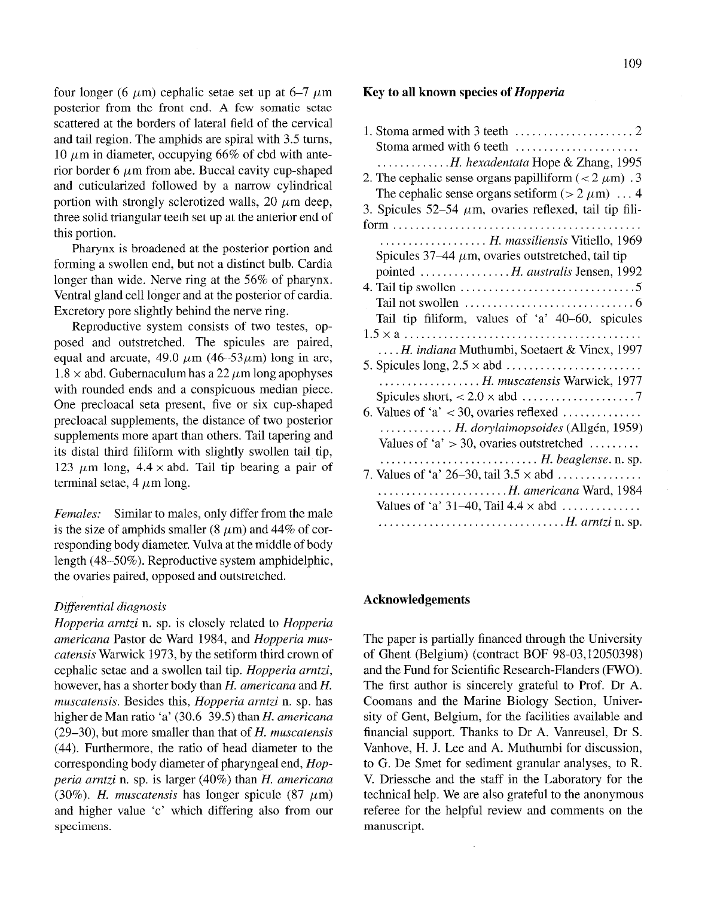four longer (6  $\mu$ m) cephalic setae set up at 6–7  $\mu$ m posterior from the front end. A few somatic setae scattered at the borders of lateral field of the cervical and tail region. The amphids are spiral with 3.5 turns, 10  $\mu$ m in diameter, occupying 66% of cbd with anterior border 6  $\mu$ m from abe. Buccal cavity cup-shaped and cuticularized followed by a narrow cylindrical portion with strongly sclerotized walls, 20  $\mu$ m deep, three solid triangular teeth set up at the anterior end of this portion.

Pharynx is broadened at the posterior portion and forming a swollen end, but not a distinct bulb. Cardia longer than wide. Nerve ring at the 56% of pharynx. Ventral gland cell longer and at the posterior of cardia. Excretory pore slightly behind the nerve ring.

Reproductive system consists of two testes, opposed and outstretched. The spicules are paired, equal and arcuate, 49.0  $\mu$ m (46–53 $\mu$ m) long in arc,  $1.8 \times$  abd. Gubernaculum has a 22  $\mu$ m long apophyses with rounded ends and a conspicuous median piece. One precloacal seta present, five or six cup-shaped precloacal supplements, the distance of two posterior supplements more apart than others. Tail tapering and its distal third filiform with slightly swollen tail tip, 123  $\mu$ m long, 4.4  $\times$  abd. Tail tip bearing a pair of terminal setae,  $4 \mu m$  long.

Females: Similar to males, only differ from the male is the size of amphids smaller (8  $\mu$ m) and 44% of corresponding body diameter. Vulva at the middle of body length (48-50%). Reproductive system amphidelphic, the ovaries paired, opposed and outstretched.

#### Differential diagnosis

Hopperia arntzi n. sp. is closely related to Hopperia americana Pastor de Ward 1984, and Hopperia muscatensis Warwick 1973, by the setiform third crown of cephalic setae and a swollen tail tip. Hopperia arntzi, however, has a shorter body than H. americana and H. muscatensis. Besides this, Hopperia arntzi n. sp. has higher de Man ratio 'a' (30.6–39.5) than H. americana  $(29-30)$ , but more smaller than that of H. muscatensis (44). Furthermore, the ratio of head diameter to the corresponding body diameter of pharyngeal end, Hopperia arntzi n. sp. is larger (40%) than H. americana (30%). H. muscatensis has longer spicule (87  $\mu$ m) and higher value 'c' which differing also from our specimens.

# Key to all known species of Hopperia

| Stoma armed with 6 teeth                                                          |
|-----------------------------------------------------------------------------------|
| $\ldots$ H. hexadentata Hope & Zhang, 1995                                        |
| 2. The cephalic sense organs papilliform ( $<$ 2 $\mu$ m) .3                      |
| The cephalic sense organs setiform ( $> 2 \mu m$ )  4                             |
| 3. Spicules 52–54 $\mu$ m, ovaries reflexed, tail tip fili-                       |
|                                                                                   |
| H. massiliensis Vitiello, 1969                                                    |
| Spicules $37-44 \mu m$ , ovaries outstretched, tail tip                           |
| pointed  H. australis Jensen, 1992                                                |
| 4. Tail tip swollen $\dots \dots \dots \dots \dots \dots \dots \dots \dots \dots$ |
| Tail not swollen $\dots\dots\dots\dots\dots\dots\dots\dots\dots\dots\dots$        |
| Tail tip filiform, values of 'a' 40-60, spicules                                  |
| $1.5 \times a \ldots \ldots \ldots \ldots \ldots \ldots \ldots \ldots$            |
| H. indiana Muthumbi, Soetaert & Vincx, 1997                                       |
|                                                                                   |
| H. muscatensis Warwick, 1977                                                      |
| 6. Values of 'a' $\lt 30$ , ovaries reflexed                                      |
| H. dorylaimopsoides (Allgén, 1959)                                                |
| Values of 'a' $>$ 30, ovaries outstretched                                        |
|                                                                                   |
| 7. Values of 'a' 26–30, tail $3.5 \times$ abd                                     |
| H. americana Ward, 1984                                                           |
| Values of 'a' $31-40$ , Tail $4.4 \times abd$                                     |
|                                                                                   |
|                                                                                   |

## Acknowledgements

The paper is partially financed through the University of Ghent (Belgium) (contract BOF 98-03,12050398) and the Fund for Scientific Research-Flanders (FWO). The first author is sincerely grateful to Prof. Dr A. Coomans and the Marine Biology Section, University of Gent, Belgium, for the facilities available and financial support. Thanks to Dr A. Vanreusel, Dr S. Vanhove, H. J. Lee and A. Muthumbi for discussion, to G. De Smet for sediment granular analyses, to R. V. Driessche and the staff in the Laboratory for the technical help. We are also grateful to the anonymous referee for the helpful review and comments on the manuscript.